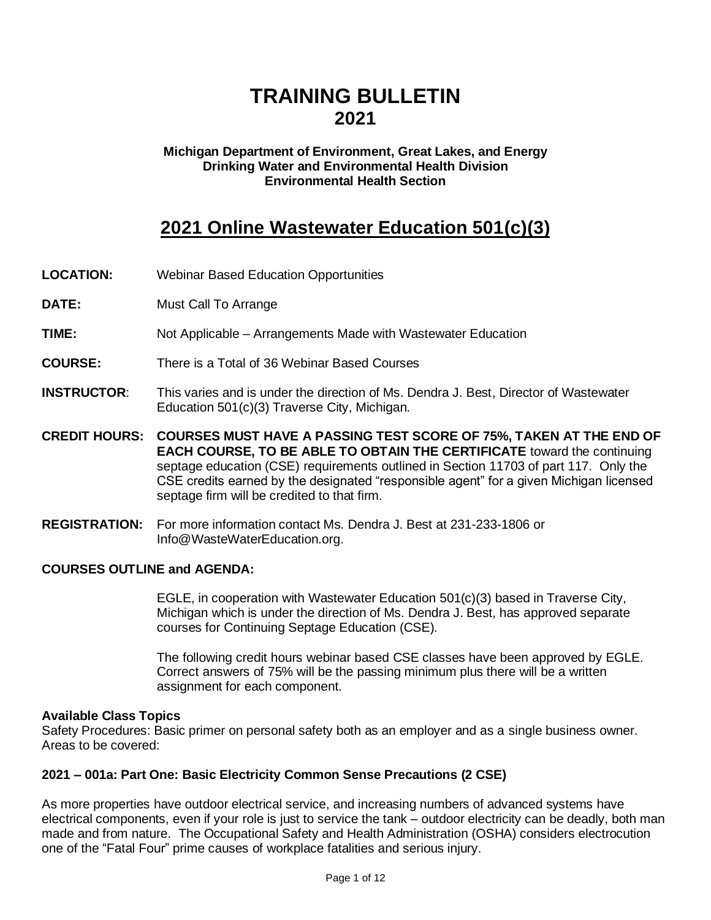# **TRAINING BULLETIN 2021**

#### **Michigan Department of Environment, Great Lakes, and Energy Drinking Water and Environmental Health Division Environmental Health Section**

## **2021 Online Wastewater Education 501(c)(3)**

- **LOCATION:** Webinar Based Education Opportunities
- **DATE:** Must Call To Arrange
- **TIME:** Not Applicable Arrangements Made with Wastewater Education
- **COURSE:** There is a Total of 36 Webinar Based Courses
- **INSTRUCTOR**: This varies and is under the direction of Ms. Dendra J. Best, Director of Wastewater Education 501(c)(3) Traverse City, Michigan.
- **CREDIT HOURS: COURSES MUST HAVE A PASSING TEST SCORE OF 75%, TAKEN AT THE END OF EACH COURSE, TO BE ABLE TO OBTAIN THE CERTIFICATE** toward the continuing septage education (CSE) requirements outlined in Section 11703 of part 117. Only the CSE credits earned by the designated "responsible agent" for a given Michigan licensed septage firm will be credited to that firm.
- **REGISTRATION:** For more information contact Ms. Dendra J. Best at 231-233-1806 or Info@WasteWaterEducation.org.

#### **COURSES OUTLINE and AGENDA:**

EGLE, in cooperation with Wastewater Education 501(c)(3) based in Traverse City, Michigan which is under the direction of Ms. Dendra J. Best, has approved separate courses for Continuing Septage Education (CSE).

The following credit hours webinar based CSE classes have been approved by EGLE. Correct answers of 75% will be the passing minimum plus there will be a written assignment for each component.

#### **Available Class Topics**

Safety Procedures: Basic primer on personal safety both as an employer and as a single business owner. Areas to be covered:

#### **2021 – 001a: Part One: Basic Electricity Common Sense Precautions (2 CSE)**

As more properties have outdoor electrical service, and increasing numbers of advanced systems have electrical components, even if your role is just to service the tank – outdoor electricity can be deadly, both man made and from nature. The Occupational Safety and Health Administration (OSHA) considers electrocution one of the "Fatal Four" prime causes of workplace fatalities and serious injury.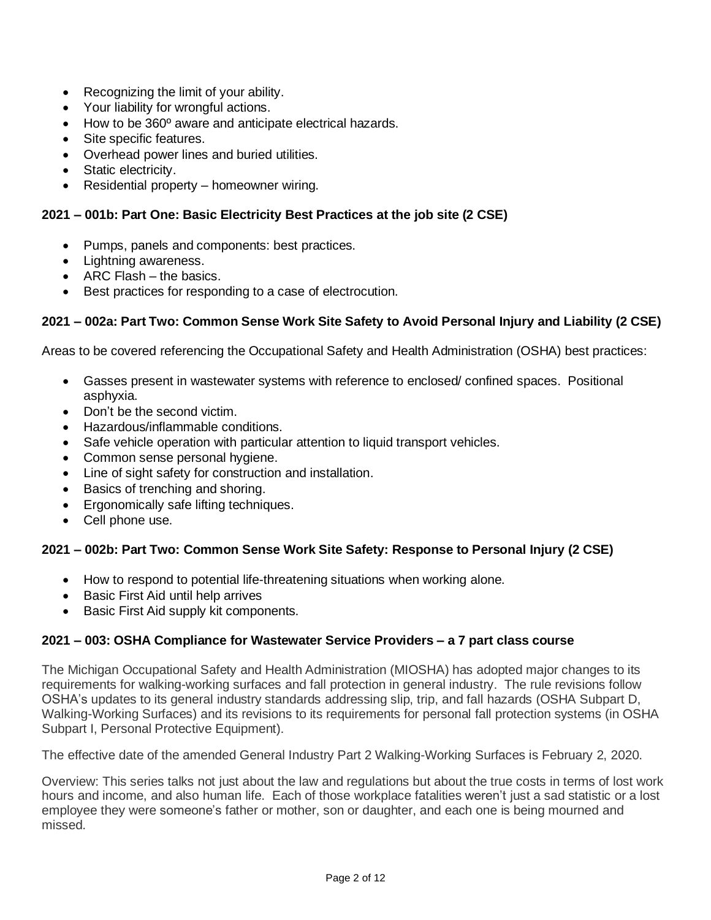- Recognizing the limit of your ability.
- Your liability for wrongful actions.
- How to be 360º aware and anticipate electrical hazards.
- Site specific features.
- Overhead power lines and buried utilities.
- Static electricity.
- Residential property homeowner wiring.

#### **2021 – 001b: Part One: Basic Electricity Best Practices at the job site (2 CSE)**

- Pumps, panels and components: best practices.
- Lightning awareness.
- ARC Flash the basics.
- Best practices for responding to a case of electrocution.

#### 2021 – 002a: Part Two: Common Sense Work Site Safety to Avoid Personal Injury and Liability (2 CSE)

Areas to be covered referencing the Occupational Safety and Health Administration (OSHA) best practices:

- Gasses present in wastewater systems with reference to enclosed/ confined spaces. Positional asphyxia.
- Don't be the second victim.
- Hazardous/inflammable conditions.
- Safe vehicle operation with particular attention to liquid transport vehicles.
- Common sense personal hygiene.
- Line of sight safety for construction and installation.
- Basics of trenching and shoring.
- Ergonomically safe lifting techniques.
- Cell phone use.

#### **2021 – 002b: Part Two: Common Sense Work Site Safety: Response to Personal Injury (2 CSE)**

- How to respond to potential life-threatening situations when working alone.
- Basic First Aid until help arrives
- Basic First Aid supply kit components.

#### **2021 – 003: OSHA Compliance for Wastewater Service Providers – a 7 part class course**

The Michigan Occupational Safety and Health Administration (MIOSHA) has adopted major changes to its requirements for walking-working surfaces and fall protection in general industry. The rule revisions follow OSHA's updates to its general industry standards addressing slip, trip, and fall hazards (OSHA Subpart D, Walking-Working Surfaces) and its revisions to its requirements for personal fall protection systems (in OSHA Subpart I, Personal Protective Equipment).

The effective date of the amended General Industry Part 2 Walking-Working Surfaces is February 2, 2020.

Overview: This series talks not just about the law and regulations but about the true costs in terms of lost work hours and income, and also human life. Each of those workplace fatalities weren't just a sad statistic or a lost employee they were someone's father or mother, son or daughter, and each one is being mourned and missed.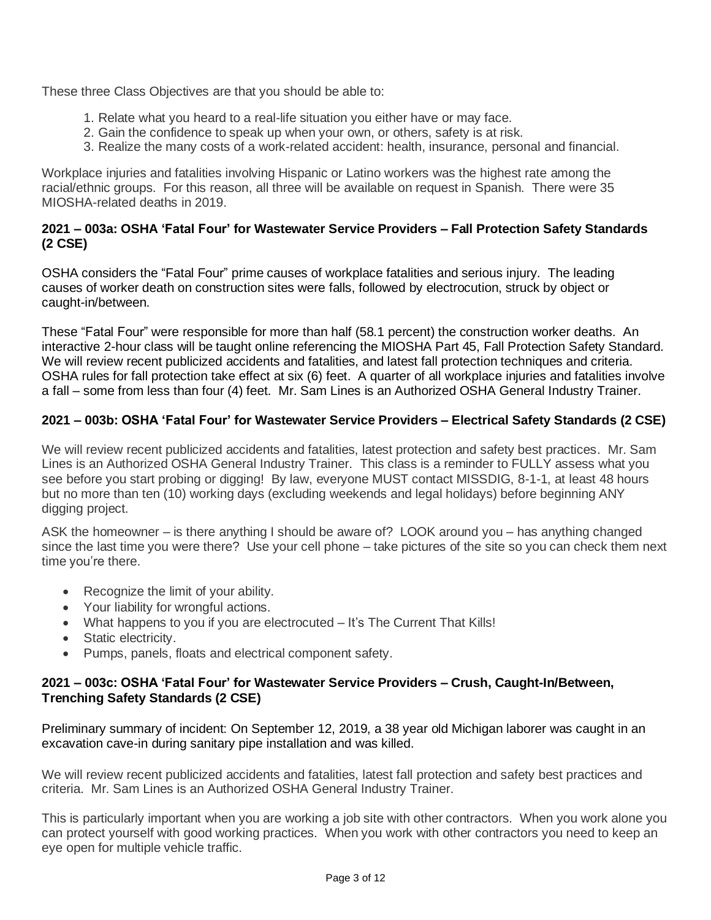These three Class Objectives are that you should be able to:

- 1. Relate what you heard to a real-life situation you either have or may face.
- 2. Gain the confidence to speak up when your own, or others, safety is at risk.
- 3. Realize the many costs of a work-related accident: health, insurance, personal and financial.

Workplace injuries and fatalities involving Hispanic or Latino workers was the highest rate among the racial/ethnic groups. For this reason, all three will be available on request in Spanish. There were 35 MIOSHA-related deaths in 2019.

#### **2021 – 003a: OSHA 'Fatal Four' for Wastewater Service Providers – Fall Protection Safety Standards (2 CSE)**

OSHA considers the "Fatal Four" prime causes of workplace fatalities and serious injury. The leading causes of worker death on construction sites were falls, followed by electrocution, struck by object or caught-in/between.

These "Fatal Four" were responsible for more than half (58.1 percent) the construction worker deaths. An interactive 2-hour class will be taught online referencing the MIOSHA Part 45, Fall Protection Safety Standard. We will review recent publicized accidents and fatalities, and latest fall protection techniques and criteria. OSHA rules for fall protection take effect at six (6) feet. A quarter of all workplace injuries and fatalities involve a fall – some from less than four (4) feet. Mr. Sam Lines is an Authorized OSHA General Industry Trainer.

## **2021 – 003b: OSHA 'Fatal Four' for Wastewater Service Providers – Electrical Safety Standards (2 CSE)**

We will review recent publicized accidents and fatalities, latest protection and safety best practices. Mr. Sam Lines is an Authorized OSHA General Industry Trainer. This class is a reminder to FULLY assess what you see before you start probing or digging! By law, everyone MUST contact MISSDIG, 8-1-1, at least 48 hours but no more than ten (10) working days (excluding weekends and legal holidays) before beginning ANY digging project.

ASK the homeowner – is there anything I should be aware of? LOOK around you – has anything changed since the last time you were there? Use your cell phone – take pictures of the site so you can check them next time you're there.

- Recognize the limit of your ability.
- Your liability for wrongful actions.
- What happens to you if you are electrocuted It's The Current That Kills!
- Static electricity.
- Pumps, panels, floats and electrical component safety.

#### **2021 – 003c: OSHA 'Fatal Four' for Wastewater Service Providers – Crush, Caught-In/Between, Trenching Safety Standards (2 CSE)**

Preliminary summary of incident: On September 12, 2019, a 38 year old Michigan laborer was caught in an excavation cave-in during sanitary pipe installation and was killed.

We will review recent publicized accidents and fatalities, latest fall protection and safety best practices and criteria. Mr. Sam Lines is an Authorized OSHA General Industry Trainer.

This is particularly important when you are working a job site with other contractors. When you work alone you can protect yourself with good working practices. When you work with other contractors you need to keep an eye open for multiple vehicle traffic.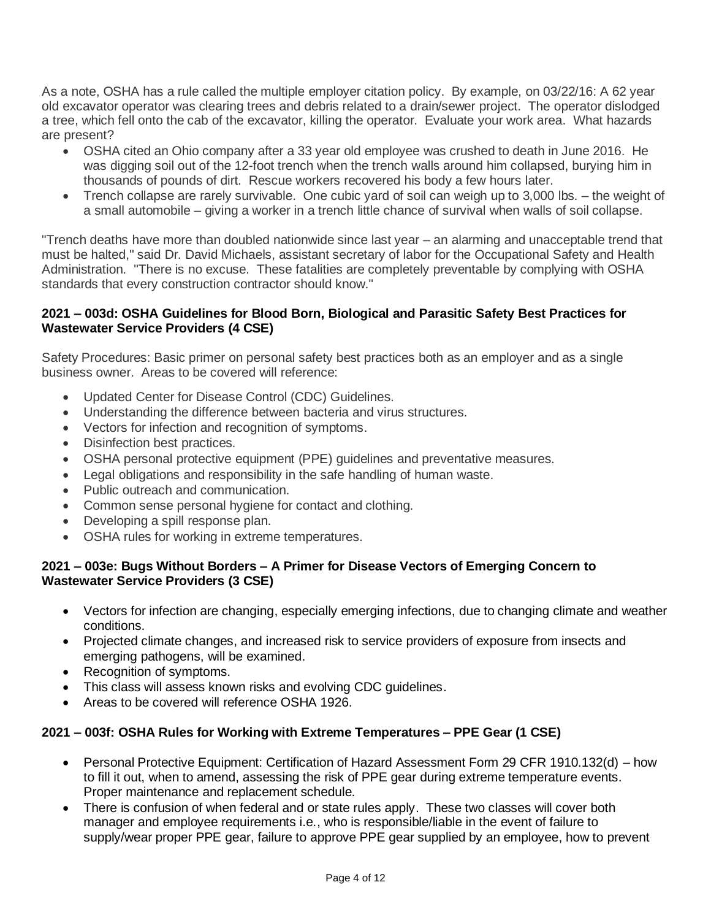As a note, OSHA has a rule called the multiple employer citation policy. By example, on 03/22/16: A 62 year old excavator operator was clearing trees and debris related to a drain/sewer project. The operator dislodged a tree, which fell onto the cab of the excavator, killing the operator. Evaluate your work area. What hazards are present?

- OSHA cited an Ohio company after a 33 year old employee was crushed to death in June 2016. He was digging soil out of the 12-foot trench when the trench walls around him collapsed, burying him in thousands of pounds of dirt. Rescue workers recovered his body a few hours later.
- Trench collapse are rarely survivable. One cubic yard of soil can weigh up to 3,000 lbs. the weight of a small automobile – giving a worker in a trench little chance of survival when walls of soil collapse.

"Trench deaths have more than doubled nationwide since last year – an alarming and unacceptable trend that must be halted," said Dr. David Michaels, assistant secretary of labor for the Occupational Safety and Health Administration. "There is no excuse. These fatalities are completely preventable by complying with OSHA standards that every construction contractor should know."

#### **2021 – 003d: OSHA Guidelines for Blood Born, Biological and Parasitic Safety Best Practices for Wastewater Service Providers (4 CSE)**

Safety Procedures: Basic primer on personal safety best practices both as an employer and as a single business owner. Areas to be covered will reference:

- Updated Center for Disease Control (CDC) Guidelines.
- Understanding the difference between bacteria and virus structures.
- Vectors for infection and recognition of symptoms.
- Disinfection best practices.
- OSHA personal protective equipment (PPE) guidelines and preventative measures.
- Legal obligations and responsibility in the safe handling of human waste.
- Public outreach and communication.
- Common sense personal hygiene for contact and clothing.
- Developing a spill response plan.
- OSHA rules for working in extreme temperatures.

#### **2021 – 003e: Bugs Without Borders – A Primer for Disease Vectors of Emerging Concern to Wastewater Service Providers (3 CSE)**

- Vectors for infection are changing, especially emerging infections, due to changing climate and weather conditions.
- Projected climate changes, and increased risk to service providers of exposure from insects and emerging pathogens, will be examined.
- Recognition of symptoms.
- This class will assess known risks and evolving CDC guidelines.
- Areas to be covered will reference OSHA 1926.

#### **2021 – 003f: OSHA Rules for Working with Extreme Temperatures – PPE Gear (1 CSE)**

- Personal Protective Equipment: Certification of Hazard Assessment Form 29 CFR 1910.132(d) how to fill it out, when to amend, assessing the risk of PPE gear during extreme temperature events. Proper maintenance and replacement schedule.
- There is confusion of when federal and or state rules apply. These two classes will cover both manager and employee requirements i.e., who is responsible/liable in the event of failure to supply/wear proper PPE gear, failure to approve PPE gear supplied by an employee, how to prevent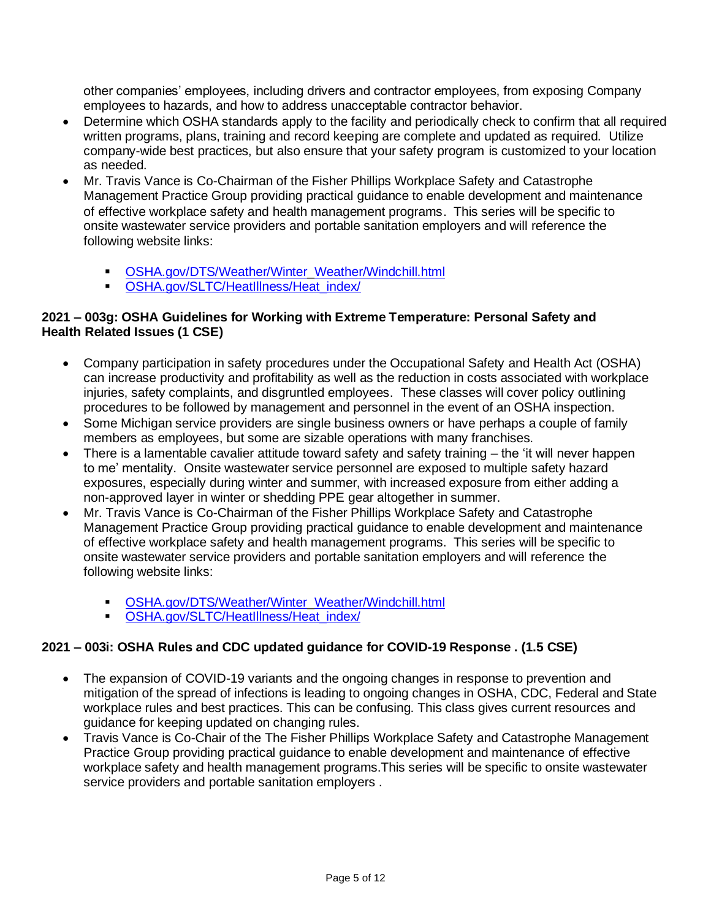other companies' employees, including drivers and contractor employees, from exposing Company employees to hazards, and how to address unacceptable contractor behavior.

- Determine which OSHA standards apply to the facility and periodically check to confirm that all required written programs, plans, training and record keeping are complete and updated as required. Utilize company-wide best practices, but also ensure that your safety program is customized to your location as needed.
- Mr. Travis Vance is Co-Chairman of the Fisher Phillips Workplace Safety and Catastrophe Management Practice Group providing practical guidance to enable development and maintenance of effective workplace safety and health management programs. This series will be specific to onsite wastewater service providers and portable sanitation employers and will reference the following website links:
	- [OSHA.gov/DTS/Weather/Winter\\_Weather/Windchill.html](https://gcc01.safelinks.protection.outlook.com/?url=https%3A%2F%2Fwww.osha.gov%2Fdts%2Fweather%2Fwinter_weather%2Fwindchill.html&data=02%7C01%7Crockholdm%40michigan.gov%7C0e7d7ee7759c4be586db08d7b6e27174%7Cd5fb7087377742ad966a892ef47225d1%7C0%7C0%7C637178955991943266&sdata=YCD%2BJQgqeikKzApjDVhDPmpagL7wazwLBaya6ZKkfaQ%3D&reserved=0)
	- **OSHA.gov/SLTC/HeatIllness/Heat index/**

#### **2021 – 003g: OSHA Guidelines for Working with Extreme Temperature: Personal Safety and Health Related Issues (1 CSE)**

- Company participation in safety procedures under the Occupational Safety and Health Act (OSHA) can increase productivity and profitability as well as the reduction in costs associated with workplace injuries, safety complaints, and disgruntled employees. These classes will cover policy outlining procedures to be followed by management and personnel in the event of an OSHA inspection.
- Some Michigan service providers are single business owners or have perhaps a couple of family members as employees, but some are sizable operations with many franchises.
- There is a lamentable cavalier attitude toward safety and safety training the 'it will never happen to me' mentality. Onsite wastewater service personnel are exposed to multiple safety hazard exposures, especially during winter and summer, with increased exposure from either adding a non-approved layer in winter or shedding PPE gear altogether in summer.
- Mr. Travis Vance is Co-Chairman of the Fisher Phillips Workplace Safety and Catastrophe Management Practice Group providing practical guidance to enable development and maintenance of effective workplace safety and health management programs. This series will be specific to onsite wastewater service providers and portable sanitation employers and will reference the following website links:
	- [OSHA.gov/DTS/Weather/Winter](https://www.osha.gov/dts/weather/winter)[\\_Weather/Windchill.html](https://gcc01.safelinks.protection.outlook.com/?url=https%3A%2F%2Fwww.osha.gov%2Fdts%2Fweather%2Fwinter_weather%2Fwindchill.html&data=02%7C01%7Crockholdm%40michigan.gov%7C0e7d7ee7759c4be586db08d7b6e27174%7Cd5fb7087377742ad966a892ef47225d1%7C0%7C0%7C637178955991943266&sdata=YCD%2BJQgqeikKzApjDVhDPmpagL7wazwLBaya6ZKkfaQ%3D&reserved=0)
	- **[OSHA.gov/SLTC/HeatIllness/Heat\\_index/](https://www.osha.gov/SLTC/heatillness/heat_index/)**

#### **2021 – 003i: OSHA Rules and CDC updated guidance for COVID-19 Response . (1.5 CSE)**

- The expansion of COVID-19 variants and the ongoing changes in response to prevention and mitigation of the spread of infections is leading to ongoing changes in OSHA, CDC, Federal and State workplace rules and best practices. This can be confusing. This class gives current resources and guidance for keeping updated on changing rules.
- Travis Vance is Co-Chair of the The Fisher Phillips Workplace Safety and Catastrophe Management Practice Group providing practical guidance to enable development and maintenance of effective workplace safety and health management programs.This series will be specific to onsite wastewater service providers and portable sanitation employers .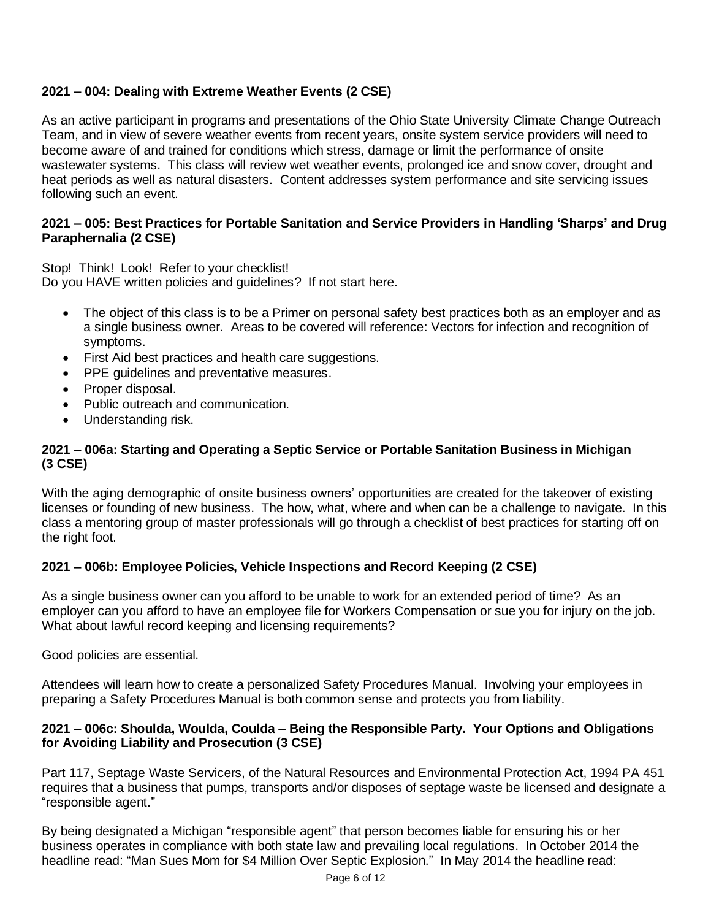## **2021 – 004: Dealing with Extreme Weather Events (2 CSE)**

As an active participant in programs and presentations of the Ohio State University Climate Change Outreach Team, and in view of severe weather events from recent years, onsite system service providers will need to become aware of and trained for conditions which stress, damage or limit the performance of onsite wastewater systems. This class will review wet weather events, prolonged ice and snow cover, drought and heat periods as well as natural disasters. Content addresses system performance and site servicing issues following such an event.

#### **2021 – 005: Best Practices for Portable Sanitation and Service Providers in Handling 'Sharps' and Drug Paraphernalia (2 CSE)**

Stop! Think! Look! Refer to your checklist! Do you HAVE written policies and guidelines? If not start here.

- The object of this class is to be a Primer on personal safety best practices both as an employer and as a single business owner. Areas to be covered will reference: Vectors for infection and recognition of symptoms.
- First Aid best practices and health care suggestions.
- PPE guidelines and preventative measures.
- Proper disposal.
- Public outreach and communication.
- Understanding risk.

## **2021 – 006a: Starting and Operating a Septic Service or Portable Sanitation Business in Michigan (3 CSE)**

With the aging demographic of onsite business owners' opportunities are created for the takeover of existing licenses or founding of new business. The how, what, where and when can be a challenge to navigate. In this class a mentoring group of master professionals will go through a checklist of best practices for starting off on the right foot.

## **2021 – 006b: Employee Policies, Vehicle Inspections and Record Keeping (2 CSE)**

As a single business owner can you afford to be unable to work for an extended period of time? As an employer can you afford to have an employee file for Workers Compensation or sue you for injury on the job. What about lawful record keeping and licensing requirements?

Good policies are essential.

Attendees will learn how to create a personalized Safety Procedures Manual. Involving your employees in preparing a Safety Procedures Manual is both common sense and protects you from liability.

#### **2021 – 006c: Shoulda, Woulda, Coulda – Being the Responsible Party. Your Options and Obligations for Avoiding Liability and Prosecution (3 CSE)**

Part 117, Septage Waste Servicers, of the Natural Resources and Environmental Protection Act, 1994 PA 451 requires that a business that pumps, transports and/or disposes of septage waste be licensed and designate a "responsible agent."

By being designated a Michigan "responsible agent" that person becomes liable for ensuring his or her business operates in compliance with both state law and prevailing local regulations. In October 2014 the headline read: "Man Sues Mom for \$4 Million Over Septic Explosion." In May 2014 the headline read: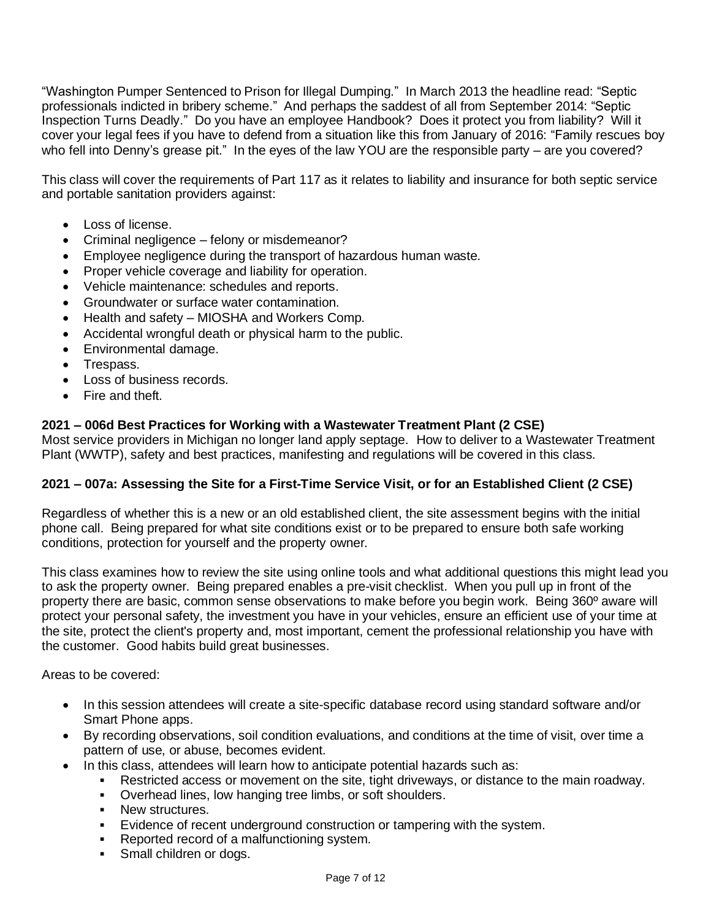"Washington Pumper Sentenced to Prison for Illegal Dumping." In March 2013 the headline read: "Septic professionals indicted in bribery scheme." And perhaps the saddest of all from September 2014: "Septic Inspection Turns Deadly." Do you have an employee Handbook? Does it protect you from liability? Will it cover your legal fees if you have to defend from a situation like this from January of 2016: "Family rescues boy who fell into Denny's grease pit." In the eyes of the law YOU are the responsible party – are you covered?

This class will cover the requirements of Part 117 as it relates to liability and insurance for both septic service and portable sanitation providers against:

- Loss of license.
- Criminal negligence felony or misdemeanor?
- Employee negligence during the transport of hazardous human waste.
- Proper vehicle coverage and liability for operation.
- Vehicle maintenance: schedules and reports.
- Groundwater or surface water contamination.
- Health and safety MIOSHA and Workers Comp.
- Accidental wrongful death or physical harm to the public.
- Environmental damage.
- Trespass.
- Loss of business records.
- Fire and theft.

#### **2021 – 006d Best Practices for Working with a Wastewater Treatment Plant (2 CSE)**

Most service providers in Michigan no longer land apply septage. How to deliver to a Wastewater Treatment Plant (WWTP), safety and best practices, manifesting and regulations will be covered in this class.

#### 2021 – 007a: Assessing the Site for a First-Time Service Visit, or for an Established Client (2 CSE)

Regardless of whether this is a new or an old established client, the site assessment begins with the initial phone call. Being prepared for what site conditions exist or to be prepared to ensure both safe working conditions, protection for yourself and the property owner.

This class examines how to review the site using online tools and what additional questions this might lead you to ask the property owner. Being prepared enables a pre-visit checklist. When you pull up in front of the property there are basic, common sense observations to make before you begin work. Being 360º aware will protect your personal safety, the investment you have in your vehicles, ensure an efficient use of your time at the site, protect the client's property and, most important, cement the professional relationship you have with the customer. Good habits build great businesses.

Areas to be covered:

- In this session attendees will create a site-specific database record using standard software and/or Smart Phone apps.
- By recording observations, soil condition evaluations, and conditions at the time of visit, over time a pattern of use, or abuse, becomes evident.
- In this class, attendees will learn how to anticipate potential hazards such as:
	- Restricted access or movement on the site, tight driveways, or distance to the main roadway.
	- Overhead lines, low hanging tree limbs, or soft shoulders.
	- New structures.
	- Evidence of recent underground construction or tampering with the system.
	- Reported record of a malfunctioning system.
	- **•** Small children or dogs.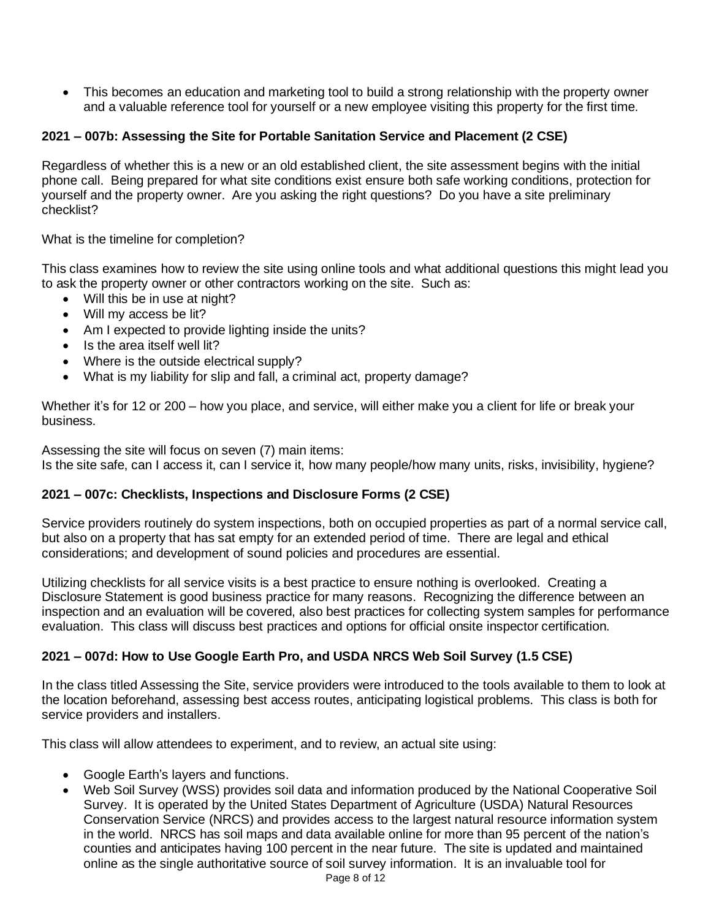• This becomes an education and marketing tool to build a strong relationship with the property owner and a valuable reference tool for yourself or a new employee visiting this property for the first time.

## **2021 – 007b: Assessing the Site for Portable Sanitation Service and Placement (2 CSE)**

Regardless of whether this is a new or an old established client, the site assessment begins with the initial phone call. Being prepared for what site conditions exist ensure both safe working conditions, protection for yourself and the property owner. Are you asking the right questions? Do you have a site preliminary checklist?

What is the timeline for completion?

This class examines how to review the site using online tools and what additional questions this might lead you to ask the property owner or other contractors working on the site. Such as:

- Will this be in use at night?
- Will my access be lit?
- Am I expected to provide lighting inside the units?
- Is the area itself well lit?
- Where is the outside electrical supply?
- What is my liability for slip and fall, a criminal act, property damage?

Whether it's for 12 or 200 – how you place, and service, will either make you a client for life or break your business.

Assessing the site will focus on seven (7) main items:

Is the site safe, can I access it, can I service it, how many people/how many units, risks, invisibility, hygiene?

#### **2021 – 007c: Checklists, Inspections and Disclosure Forms (2 CSE)**

Service providers routinely do system inspections, both on occupied properties as part of a normal service call, but also on a property that has sat empty for an extended period of time. There are legal and ethical considerations; and development of sound policies and procedures are essential.

Utilizing checklists for all service visits is a best practice to ensure nothing is overlooked. Creating a Disclosure Statement is good business practice for many reasons. Recognizing the difference between an inspection and an evaluation will be covered, also best practices for collecting system samples for performance evaluation. This class will discuss best practices and options for official onsite inspector certification.

#### **2021 – 007d: How to Use Google Earth Pro, and USDA NRCS Web Soil Survey (1.5 CSE)**

In the class titled Assessing the Site, service providers were introduced to the tools available to them to look at the location beforehand, assessing best access routes, anticipating logistical problems. This class is both for service providers and installers.

This class will allow attendees to experiment, and to review, an actual site using:

- Google Earth's layers and functions.
- Web Soil Survey (WSS) provides soil data and information produced by the National Cooperative Soil Survey. It is operated by the United States Department of Agriculture (USDA) Natural Resources Conservation Service (NRCS) and provides access to the largest natural resource information system in the world. NRCS has soil maps and data available online for more than 95 percent of the nation's counties and anticipates having 100 percent in the near future. The site is updated and maintained online as the single authoritative source of soil survey information. It is an invaluable tool for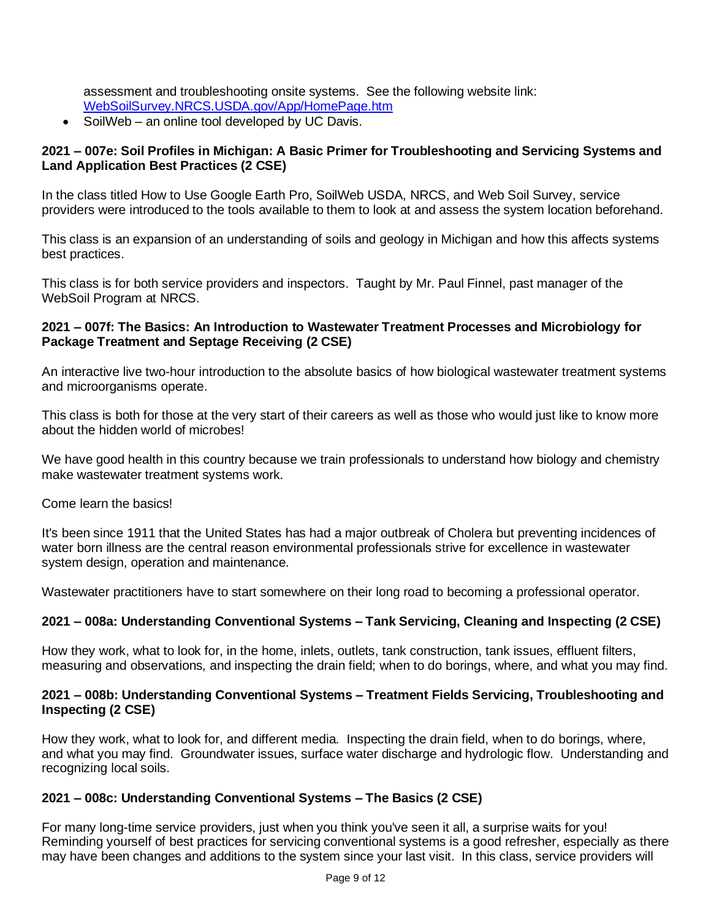assessment and troubleshooting onsite systems. See the following website link: [WebSoilSurvey.NRCS.USDA.gov/App/HomePage.htm](http://websoilsurvey.nrcs.usda.gov/app/HomePage.htm)

• SoilWeb – an online tool developed by UC Davis.

#### **2021 – 007e: Soil Profiles in Michigan: A Basic Primer for Troubleshooting and Servicing Systems and Land Application Best Practices (2 CSE)**

In the class titled How to Use Google Earth Pro, SoilWeb USDA, NRCS, and Web Soil Survey, service providers were introduced to the tools available to them to look at and assess the system location beforehand.

This class is an expansion of an understanding of soils and geology in Michigan and how this affects systems best practices.

This class is for both service providers and inspectors. Taught by Mr. Paul Finnel, past manager of the WebSoil Program at NRCS.

#### **2021 – 007f: The Basics: An Introduction to Wastewater Treatment Processes and Microbiology for Package Treatment and Septage Receiving (2 CSE)**

An interactive live two-hour introduction to the absolute basics of how biological wastewater treatment systems and microorganisms operate.

This class is both for those at the very start of their careers as well as those who would just like to know more about the hidden world of microbes!

We have good health in this country because we train professionals to understand how biology and chemistry make wastewater treatment systems work.

Come learn the basics!

It's been since 1911 that the United States has had a major outbreak of Cholera but preventing incidences of water born illness are the central reason environmental professionals strive for excellence in wastewater system design, operation and maintenance.

Wastewater practitioners have to start somewhere on their long road to becoming a professional operator.

## **2021 – 008a: Understanding Conventional Systems – Tank Servicing, Cleaning and Inspecting (2 CSE)**

How they work, what to look for, in the home, inlets, outlets, tank construction, tank issues, effluent filters, measuring and observations, and inspecting the drain field; when to do borings, where, and what you may find.

#### **2021 – 008b: Understanding Conventional Systems – Treatment Fields Servicing, Troubleshooting and Inspecting (2 CSE)**

How they work, what to look for, and different media. Inspecting the drain field, when to do borings, where, and what you may find. Groundwater issues, surface water discharge and hydrologic flow. Understanding and recognizing local soils.

#### **2021 – 008c: Understanding Conventional Systems – The Basics (2 CSE)**

For many long-time service providers, just when you think you've seen it all, a surprise waits for you! Reminding yourself of best practices for servicing conventional systems is a good refresher, especially as there may have been changes and additions to the system since your last visit. In this class, service providers will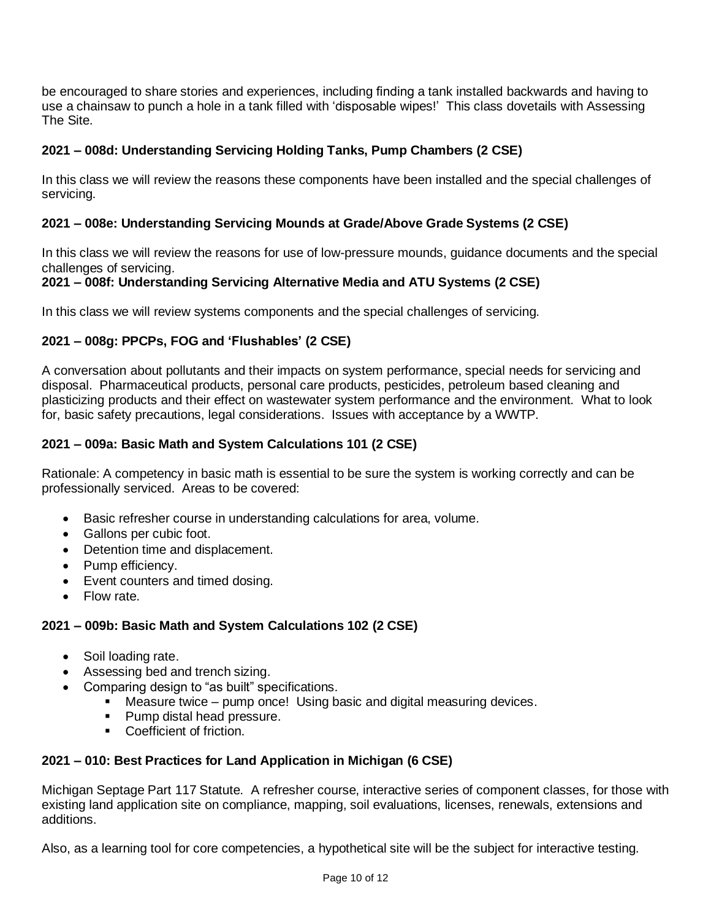be encouraged to share stories and experiences, including finding a tank installed backwards and having to use a chainsaw to punch a hole in a tank filled with 'disposable wipes!' This class dovetails with Assessing The Site.

## **2021 – 008d: Understanding Servicing Holding Tanks, Pump Chambers (2 CSE)**

In this class we will review the reasons these components have been installed and the special challenges of servicing.

## **2021 – 008e: Understanding Servicing Mounds at Grade/Above Grade Systems (2 CSE)**

In this class we will review the reasons for use of low-pressure mounds, guidance documents and the special challenges of servicing.

## **2021 – 008f: Understanding Servicing Alternative Media and ATU Systems (2 CSE)**

In this class we will review systems components and the special challenges of servicing.

## **2021 – 008g: PPCPs, FOG and 'Flushables' (2 CSE)**

A conversation about pollutants and their impacts on system performance, special needs for servicing and disposal. Pharmaceutical products, personal care products, pesticides, petroleum based cleaning and plasticizing products and their effect on wastewater system performance and the environment. What to look for, basic safety precautions, legal considerations. Issues with acceptance by a WWTP.

## **2021 – 009a: Basic Math and System Calculations 101 (2 CSE)**

Rationale: A competency in basic math is essential to be sure the system is working correctly and can be professionally serviced. Areas to be covered:

- Basic refresher course in understanding calculations for area, volume.
- Gallons per cubic foot.
- Detention time and displacement.
- Pump efficiency.
- Event counters and timed dosing.
- Flow rate.

## **2021 – 009b: Basic Math and System Calculations 102 (2 CSE)**

- Soil loading rate.
- Assessing bed and trench sizing.
	- Comparing design to "as built" specifications.
		- Measure twice pump once! Using basic and digital measuring devices.
		- Pump distal head pressure.
		- Coefficient of friction.

## **2021 – 010: Best Practices for Land Application in Michigan (6 CSE)**

Michigan Septage Part 117 Statute. A refresher course, interactive series of component classes, for those with existing land application site on compliance, mapping, soil evaluations, licenses, renewals, extensions and additions.

Also, as a learning tool for core competencies, a hypothetical site will be the subject for interactive testing.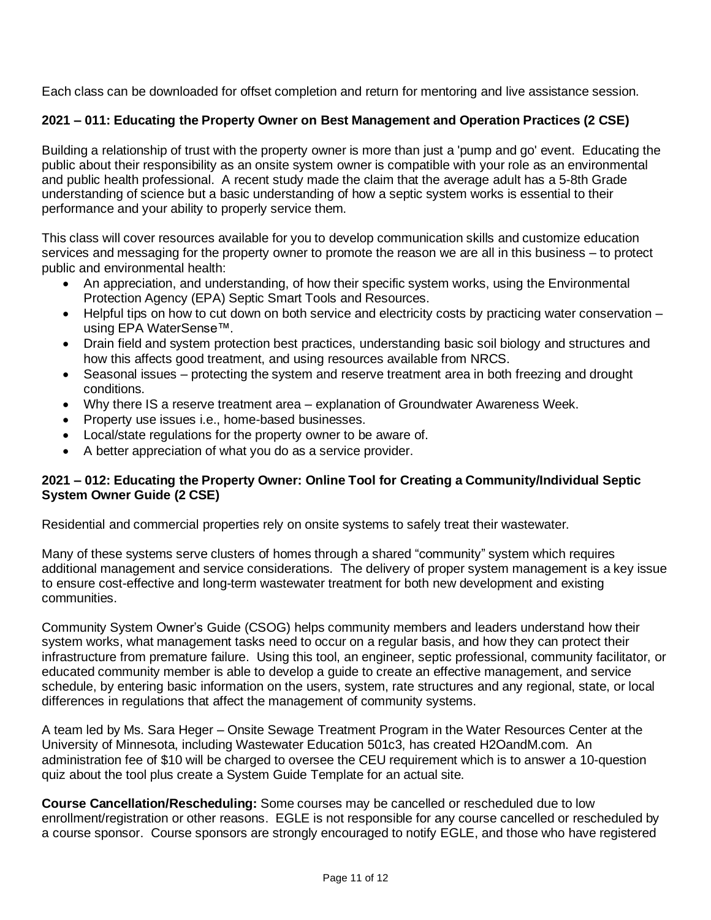Each class can be downloaded for offset completion and return for mentoring and live assistance session.

## **2021 – 011: Educating the Property Owner on Best Management and Operation Practices (2 CSE)**

Building a relationship of trust with the property owner is more than just a 'pump and go' event. Educating the public about their responsibility as an onsite system owner is compatible with your role as an environmental and public health professional. A recent study made the claim that the average adult has a 5-8th Grade understanding of science but a basic understanding of how a septic system works is essential to their performance and your ability to properly service them.

This class will cover resources available for you to develop communication skills and customize education services and messaging for the property owner to promote the reason we are all in this business – to protect public and environmental health:

- An appreciation, and understanding, of how their specific system works, using the Environmental Protection Agency (EPA) Septic Smart Tools and Resources.
- Helpful tips on how to cut down on both service and electricity costs by practicing water conservation using EPA WaterSense™.
- Drain field and system protection best practices, understanding basic soil biology and structures and how this affects good treatment, and using resources available from NRCS.
- Seasonal issues protecting the system and reserve treatment area in both freezing and drought conditions.
- Why there IS a reserve treatment area explanation of Groundwater Awareness Week.
- Property use issues i.e., home-based businesses.
- Local/state regulations for the property owner to be aware of.
- A better appreciation of what you do as a service provider.

#### **2021 – 012: Educating the Property Owner: Online Tool for Creating a Community/Individual Septic System Owner Guide (2 CSE)**

Residential and commercial properties rely on onsite systems to safely treat their wastewater.

Many of these systems serve clusters of homes through a shared "community" system which requires additional management and service considerations. The delivery of proper system management is a key issue to ensure cost-effective and long-term wastewater treatment for both new development and existing communities.

Community System Owner's Guide (CSOG) helps community members and leaders understand how their system works, what management tasks need to occur on a regular basis, and how they can protect their infrastructure from premature failure. Using this tool, an engineer, septic professional, community facilitator, or educated community member is able to develop a guide to create an effective management, and service schedule, by entering basic information on the users, system, rate structures and any regional, state, or local differences in regulations that affect the management of community systems.

A team led by Ms. Sara Heger – Onsite Sewage Treatment Program in the Water Resources Center at the University of Minnesota, including Wastewater Education 501c3, has created H2OandM.com. An administration fee of \$10 will be charged to oversee the CEU requirement which is to answer a 10-question quiz about the tool plus create a System Guide Template for an actual site.

**Course Cancellation/Rescheduling:** Some courses may be cancelled or rescheduled due to low enrollment/registration or other reasons. EGLE is not responsible for any course cancelled or rescheduled by a course sponsor. Course sponsors are strongly encouraged to notify EGLE, and those who have registered